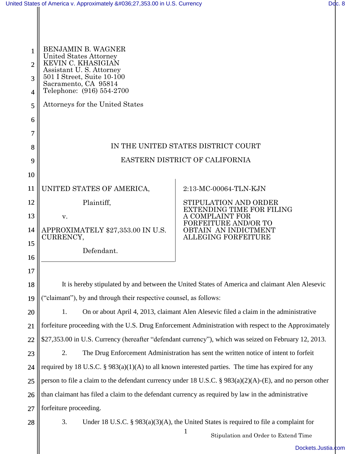| $\mathbf{1}$<br>$\overline{2}$<br>3<br>$\overline{4}$ | <b>BENJAMIN B. WAGNER</b><br>United States Attorney<br>KEVIN C. KHASIGIAN<br>Assistant U.S. Attorney<br>501 I Street, Suite 10-100<br>Sacramento, CA 95814<br>Telephone: (916) 554-2700 |                                                                            |  |
|-------------------------------------------------------|-----------------------------------------------------------------------------------------------------------------------------------------------------------------------------------------|----------------------------------------------------------------------------|--|
| 5                                                     | Attorneys for the United States                                                                                                                                                         |                                                                            |  |
| 6                                                     |                                                                                                                                                                                         |                                                                            |  |
| 7                                                     |                                                                                                                                                                                         |                                                                            |  |
| 8                                                     | IN THE UNITED STATES DISTRICT COURT                                                                                                                                                     |                                                                            |  |
| 9                                                     | EASTERN DISTRICT OF CALIFORNIA                                                                                                                                                          |                                                                            |  |
| 10                                                    |                                                                                                                                                                                         |                                                                            |  |
| 11                                                    | UNITED STATES OF AMERICA,                                                                                                                                                               | 2:13-MC-00064-TLN-KJN                                                      |  |
| 12                                                    | Plaintiff,                                                                                                                                                                              | STIPULATION AND ORDER                                                      |  |
| 13                                                    | V.                                                                                                                                                                                      | <b>EXTENDING TIME FOR FILING</b><br>A COMPLAINT FOR                        |  |
| 14                                                    | APPROXIMATELY \$27,353.00 IN U.S.<br>CURRENCY,                                                                                                                                          | <b>FORFEITURE AND/OR TO</b><br>OBTAIN AN INDICTMENT<br>ALLEGING FORFEITURE |  |
| 15<br>16                                              | Defendant.                                                                                                                                                                              |                                                                            |  |
| 17                                                    |                                                                                                                                                                                         |                                                                            |  |
| 18                                                    | It is hereby stipulated by and between the United States of America and claimant Alen Alesevic                                                                                          |                                                                            |  |
| 19                                                    | ("claimant"), by and through their respective counsel, as follows:                                                                                                                      |                                                                            |  |
| 20                                                    | On or about April 4, 2013, claimant Alen Alesevic filed a claim in the administrative<br>1.                                                                                             |                                                                            |  |
| 21                                                    | forfeiture proceeding with the U.S. Drug Enforcement Administration with respect to the Approximately                                                                                   |                                                                            |  |
| 22                                                    | \$27,353.00 in U.S. Currency (hereafter "defendant currency"), which was seized on February 12, 2013.                                                                                   |                                                                            |  |
| 23                                                    | The Drug Enforcement Administration has sent the written notice of intent to forfeit<br>2.                                                                                              |                                                                            |  |
| 24                                                    | required by 18 U.S.C. § $983(a)(1)(A)$ to all known interested parties. The time has expired for any                                                                                    |                                                                            |  |
| 25                                                    | person to file a claim to the defendant currency under 18 U.S.C. § $983(a)(2)(A)$ -(E), and no person other                                                                             |                                                                            |  |
| 26                                                    | than claimant has filed a claim to the defendant currency as required by law in the administrative                                                                                      |                                                                            |  |
| 27                                                    | forfeiture proceeding.                                                                                                                                                                  |                                                                            |  |
| 28                                                    | 3.<br>Under 18 U.S.C. § $983(a)(3)(A)$ , the United States is required to file a complaint for                                                                                          |                                                                            |  |
|                                                       |                                                                                                                                                                                         | $\mathbf{1}$<br>Stipulation and Order to Extend Time                       |  |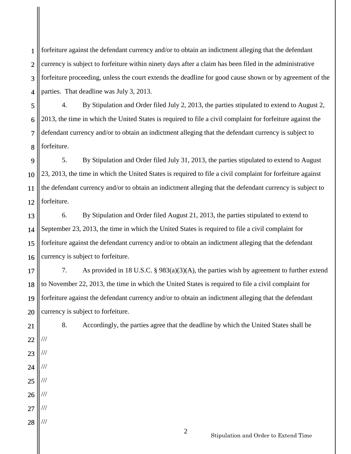1 2 3 4 forfeiture against the defendant currency and/or to obtain an indictment alleging that the defendant currency is subject to forfeiture within ninety days after a claim has been filed in the administrative forfeiture proceeding, unless the court extends the deadline for good cause shown or by agreement of the parties. That deadline was July 3, 2013.

5 6 7 8 4. By Stipulation and Order filed July 2, 2013, the parties stipulated to extend to August 2, 2013, the time in which the United States is required to file a civil complaint for forfeiture against the defendant currency and/or to obtain an indictment alleging that the defendant currency is subject to forfeiture.

9 10 11 12 5. By Stipulation and Order filed July 31, 2013, the parties stipulated to extend to August 23, 2013, the time in which the United States is required to file a civil complaint for forfeiture against the defendant currency and/or to obtain an indictment alleging that the defendant currency is subject to forfeiture.

13 14 15 16 6. By Stipulation and Order filed August 21, 2013, the parties stipulated to extend to September 23, 2013, the time in which the United States is required to file a civil complaint for forfeiture against the defendant currency and/or to obtain an indictment alleging that the defendant currency is subject to forfeiture.

17 18 19 20 7. As provided in 18 U.S.C. § 983(a)(3)(A), the parties wish by agreement to further extend to November 22, 2013, the time in which the United States is required to file a civil complaint for forfeiture against the defendant currency and/or to obtain an indictment alleging that the defendant currency is subject to forfeiture.

21

22

///

///

///

///

///

///

///

23

24

25

26

27

28

8. Accordingly, the parties agree that the deadline by which the United States shall be